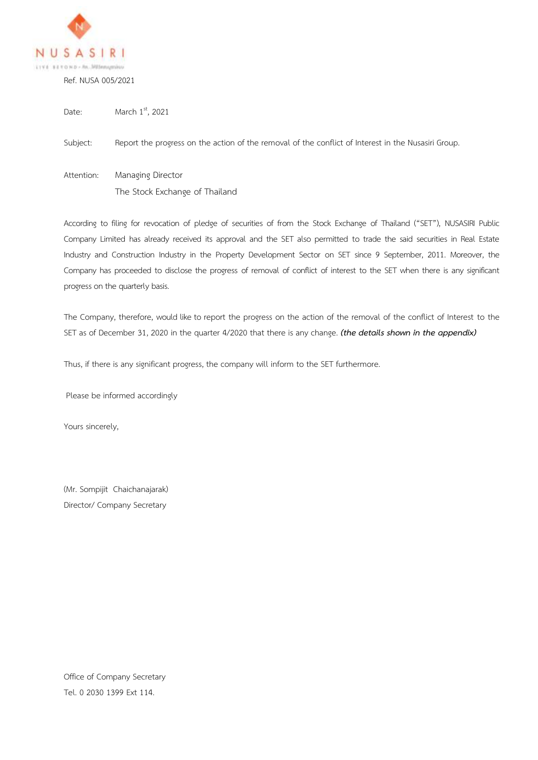

Ref. NUSA 005/2021

Date: March  $1<sup>st</sup>$ , 2021

Subject: Report the progress on the action of the removal of the conflict of Interest in the Nusasiri Group.

Attention: Managing Director The Stock Exchange of Thailand

According to filing for revocation of pledge of securities of from the Stock Exchange of Thailand ("SET"), NUSASIRI Public Company Limited has already received its approval and the SET also permitted to trade the said securities in Real Estate Industry and Construction Industry in the Property Development Sector on SET since 9 September, 2011. Moreover, the Company has proceeded to disclose the progress of removal of conflict of interest to the SET when there is any significant progress on the quarterly basis.

The Company, therefore, would like to report the progress on the action of the removal of the conflict of Interest to the SET as of December 31, 2020 in the quarter 4/2020 that there is any change. *(the details shown in the appendix)*

Thus, if there is any significant progress, the company will inform to the SET furthermore.

Please be informed accordingly

Yours sincerely,

(Mr. Sompijit Chaichanajarak) Director/ Company Secretary

Office of Company Secretary Tel. 0 2030 1399 Ext 114.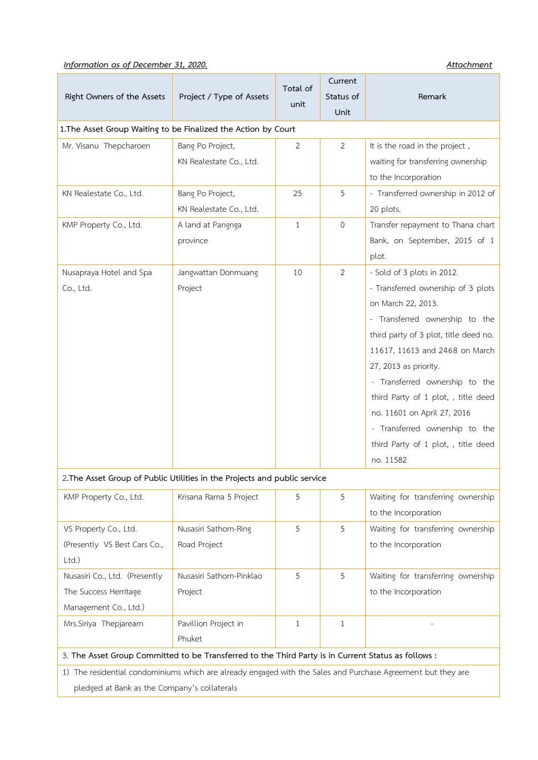## *Information as of December 31, 2020.* Attachment *Attachment*

| Right Owners of the Assets                                                                                   | Project / Type of Assets | Total of       | Current<br>Status of | Remark                                |  |  |  |
|--------------------------------------------------------------------------------------------------------------|--------------------------|----------------|----------------------|---------------------------------------|--|--|--|
|                                                                                                              |                          | unit           | Unit                 |                                       |  |  |  |
| 1. The Asset Group Waiting to be Finalized the Action by Court                                               |                          |                |                      |                                       |  |  |  |
| Mr. Visanu Thepcharoen                                                                                       | Bang Po Project,         | $\overline{2}$ | $\overline{2}$       | It is the road in the project,        |  |  |  |
|                                                                                                              | KN Realestate Co., Ltd.  |                |                      | waiting for transferring ownership    |  |  |  |
|                                                                                                              |                          |                |                      | to the Incorporation                  |  |  |  |
| KN Realestate Co., Ltd.                                                                                      | Bang Po Project,         | 25             | 5                    | - Transferred ownership in 2012 of    |  |  |  |
|                                                                                                              | KN Realestate Co., Ltd.  |                |                      | 20 plots.                             |  |  |  |
| KMP Property Co., Ltd.                                                                                       | A land at Pangnga        | $\mathbf{1}$   | $\mathbf 0$          | Transfer repayment to Thana chart     |  |  |  |
|                                                                                                              | province                 |                |                      | Bank, on September, 2015 of 1         |  |  |  |
|                                                                                                              |                          |                |                      | plot.                                 |  |  |  |
| Nusapraya Hotel and Spa                                                                                      | Jangwattan Donmuang      | 10             | $\overline{2}$       | - Sold of 3 plots in 2012.            |  |  |  |
| Co., Ltd.                                                                                                    | Project                  |                |                      | - Transferred ownership of 3 plots    |  |  |  |
|                                                                                                              |                          |                |                      | on March 22, 2013.                    |  |  |  |
|                                                                                                              |                          |                |                      | - Transferred ownership to the        |  |  |  |
|                                                                                                              |                          |                |                      | third party of 3 plot, title deed no. |  |  |  |
|                                                                                                              |                          |                |                      | 11617, 11613 and 2468 on March        |  |  |  |
|                                                                                                              |                          |                |                      | 27, 2013 as priority.                 |  |  |  |
|                                                                                                              |                          |                |                      | - Transferred ownership to the        |  |  |  |
|                                                                                                              |                          |                |                      | third Party of 1 plot, , title deed   |  |  |  |
|                                                                                                              |                          |                |                      | no. 11601 on April 27, 2016           |  |  |  |
|                                                                                                              |                          |                |                      | - Transferred ownership to the        |  |  |  |
|                                                                                                              |                          |                |                      | third Party of 1 plot, , title deed   |  |  |  |
|                                                                                                              |                          |                |                      | no. 11582                             |  |  |  |
| 2. The Asset Group of Public Utilities in the Projects and public service                                    |                          |                |                      |                                       |  |  |  |
| KMP Property Co., Ltd.                                                                                       | Krisana Rama 5 Project   | 5              | 5                    | Waiting for transferring ownership    |  |  |  |
|                                                                                                              |                          |                |                      | to the Incorporation                  |  |  |  |
| VS Property Co., Ltd.                                                                                        | Nusasiri Sathorn-Ring    | 5              | 5                    | Waiting for transferring ownership    |  |  |  |
| (Presently VS Best Cars Co.,                                                                                 | Road Project             |                |                      | to the Incorporation                  |  |  |  |
| Ltd.)                                                                                                        |                          |                |                      |                                       |  |  |  |
| Nusasiri Co., Ltd. (Presently                                                                                | Nusasiri Sathorn-Pinklao | 5              | 5                    | Waiting for transferring ownership    |  |  |  |
| The Success Herritage                                                                                        | Project                  |                |                      | to the Incorporation                  |  |  |  |
| Management Co., Ltd.)                                                                                        |                          |                |                      |                                       |  |  |  |
| Mrs.Siriya Thepjarearn                                                                                       | Pavillion Project in     | $\mathbf{1}$   | $\mathbf{1}$         |                                       |  |  |  |
|                                                                                                              | Phuket                   |                |                      |                                       |  |  |  |
| 3. The Asset Group Committed to be Transferred to the Third Party is in Current Status as follows :          |                          |                |                      |                                       |  |  |  |
| 1) The residential condominiums which are already engaged with the Sales and Purchase Agreement but they are |                          |                |                      |                                       |  |  |  |
| pledged at Bank as the Company's collaterals                                                                 |                          |                |                      |                                       |  |  |  |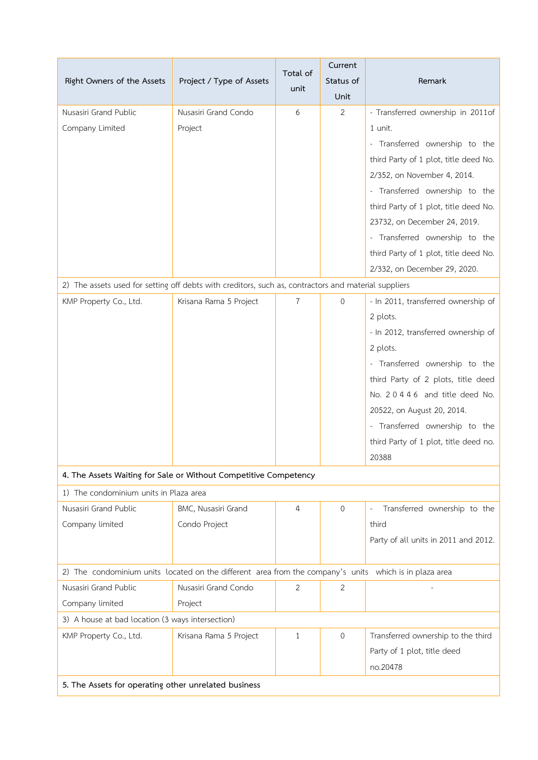| Right Owners of the Assets                                                                             | Project / Type of Assets | Total of<br>unit | Current<br>Status of | Remark                                |  |  |  |
|--------------------------------------------------------------------------------------------------------|--------------------------|------------------|----------------------|---------------------------------------|--|--|--|
|                                                                                                        |                          |                  | Unit                 |                                       |  |  |  |
| Nusasiri Grand Public                                                                                  | Nusasiri Grand Condo     | 6                | $\overline{2}$       | - Transferred ownership in 2011of     |  |  |  |
| Company Limited                                                                                        | Project                  |                  |                      | 1 unit.                               |  |  |  |
|                                                                                                        |                          |                  |                      | - Transferred ownership to the        |  |  |  |
|                                                                                                        |                          |                  |                      | third Party of 1 plot, title deed No. |  |  |  |
|                                                                                                        |                          |                  |                      | 2/352, on November 4, 2014.           |  |  |  |
|                                                                                                        |                          |                  |                      | - Transferred ownership to the        |  |  |  |
|                                                                                                        |                          |                  |                      | third Party of 1 plot, title deed No. |  |  |  |
|                                                                                                        |                          |                  |                      | 23732, on December 24, 2019.          |  |  |  |
|                                                                                                        |                          |                  |                      | - Transferred ownership to the        |  |  |  |
|                                                                                                        |                          |                  |                      | third Party of 1 plot, title deed No. |  |  |  |
|                                                                                                        |                          |                  |                      | 2/332, on December 29, 2020.          |  |  |  |
| 2) The assets used for setting off debts with creditors, such as, contractors and material suppliers   |                          |                  |                      |                                       |  |  |  |
| KMP Property Co., Ltd.                                                                                 | Krisana Rama 5 Project   | $\overline{7}$   | $\overline{0}$       | - In 2011, transferred ownership of   |  |  |  |
|                                                                                                        |                          |                  |                      | 2 plots.                              |  |  |  |
|                                                                                                        |                          |                  |                      | - In 2012, transferred ownership of   |  |  |  |
|                                                                                                        |                          |                  |                      | 2 plots.                              |  |  |  |
|                                                                                                        |                          |                  |                      | - Transferred ownership to the        |  |  |  |
|                                                                                                        |                          |                  |                      | third Party of 2 plots, title deed    |  |  |  |
|                                                                                                        |                          |                  |                      | No. 20446 and title deed No.          |  |  |  |
|                                                                                                        |                          |                  |                      | 20522, on August 20, 2014.            |  |  |  |
|                                                                                                        |                          |                  |                      | - Transferred ownership to the        |  |  |  |
|                                                                                                        |                          |                  |                      | third Party of 1 plot, title deed no. |  |  |  |
|                                                                                                        |                          |                  |                      | 20388                                 |  |  |  |
| 4. The Assets Waiting for Sale or Without Competitive Competency                                       |                          |                  |                      |                                       |  |  |  |
| 1) The condominium units in Plaza area                                                                 |                          |                  |                      |                                       |  |  |  |
| Nusasiri Grand Public                                                                                  | BMC, Nusasiri Grand      | $\overline{4}$   | $\mathbf 0$          | Transferred ownership to the          |  |  |  |
| Company limited                                                                                        | Condo Project            |                  |                      | third                                 |  |  |  |
|                                                                                                        |                          |                  |                      | Party of all units in 2011 and 2012.  |  |  |  |
| 2) The condominium units located on the different area from the company's units which is in plaza area |                          |                  |                      |                                       |  |  |  |
| Nusasiri Grand Public                                                                                  | Nusasiri Grand Condo     | 2                | 2                    |                                       |  |  |  |
| Company limited                                                                                        | Project                  |                  |                      |                                       |  |  |  |
| 3) A house at bad location (3 ways intersection)                                                       |                          |                  |                      |                                       |  |  |  |
| KMP Property Co., Ltd.                                                                                 | Krisana Rama 5 Project   | 1                | $\mathbf 0$          | Transferred ownership to the third    |  |  |  |
|                                                                                                        |                          |                  |                      | Party of 1 plot, title deed           |  |  |  |
|                                                                                                        |                          |                  |                      | no.20478                              |  |  |  |
| 5. The Assets for operating other unrelated business                                                   |                          |                  |                      |                                       |  |  |  |